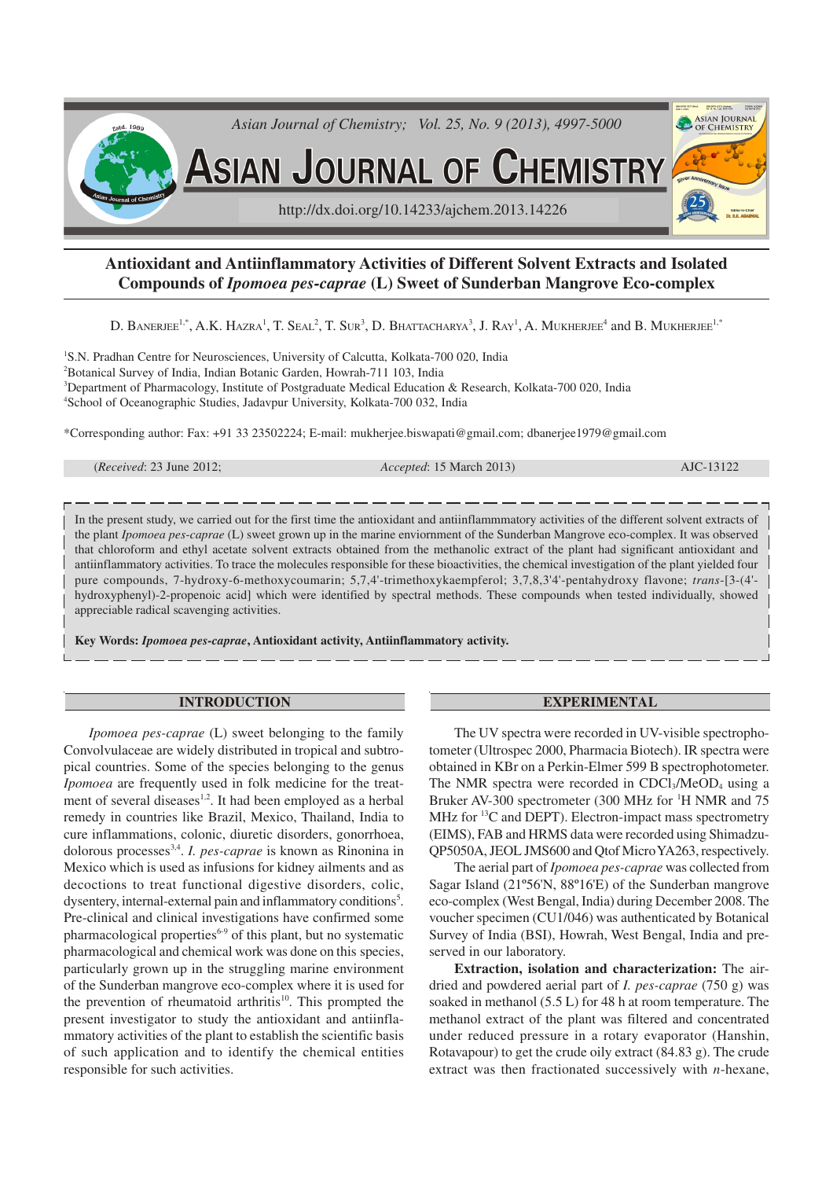

# **Antioxidant and Antiinflammatory Activities of Different Solvent Extracts and Isolated Compounds of** *Ipomoea pes-caprae* **(L) Sweet of Sunderban Mangrove Eco-complex**

D. BANERJEE<sup>1,\*</sup>, A.K. Hazra<sup>1</sup>, T. Seal<sup>2</sup>, T. Sur<sup>3</sup>, D. Bhattacharya<sup>3</sup>, J. Ray<sup>1</sup>, A. Mukherjee<sup>4</sup> and B. Mukherjee<sup>1,\*</sup>

<sup>1</sup>S.N. Pradhan Centre for Neurosciences, University of Calcutta, Kolkata-700 020, India Botanical Survey of India, Indian Botanic Garden, Howrah-711 103, India Department of Pharmacology, Institute of Postgraduate Medical Education & Research, Kolkata-700 020, India School of Oceanographic Studies, Jadavpur University, Kolkata-700 032, India

\*Corresponding author: Fax: +91 33 23502224; E-mail: mukherjee.biswapati@gmail.com; dbanerjee1979@gmail.com

(*Received*: 23 June 2012; *Accepted*: 15 March 2013) AJC-13122

In the present study, we carried out for the first time the antioxidant and antiinflammmatory activities of the different solvent extracts of the plant *Ipomoea pes-caprae* (L) sweet grown up in the marine enviornment of the Sunderban Mangrove eco-complex. It was observed that chloroform and ethyl acetate solvent extracts obtained from the methanolic extract of the plant had significant antioxidant and antiinflammatory activities. To trace the molecules responsible for these bioactivities, the chemical investigation of the plant yielded four pure compounds, 7-hydroxy-6-methoxycoumarin; 5,7,4'-trimethoxykaempferol; 3,7,8,3'4'-pentahydroxy flavone; *trans*-[3-(4' hydroxyphenyl)-2-propenoic acid] which were identified by spectral methods. These compounds when tested individually, showed appreciable radical scavenging activities.

**Key Words:** *Ipomoea pes-caprae***, Antioxidant activity, Antiinflammatory activity.**

### **INTRODUCTION**

*Ipomoea pes-caprae* (L) sweet belonging to the family Convolvulaceae are widely distributed in tropical and subtropical countries. Some of the species belonging to the genus *Ipomoea* are frequently used in folk medicine for the treatment of several diseases<sup>1,2</sup>. It had been employed as a herbal remedy in countries like Brazil, Mexico, Thailand, India to cure inflammations, colonic, diuretic disorders, gonorrhoea, dolorous processes<sup>3,4</sup>. *I. pes-caprae* is known as Rinonina in Mexico which is used as infusions for kidney ailments and as decoctions to treat functional digestive disorders, colic, dysentery, internal-external pain and inflammatory conditions<sup>5</sup>. Pre-clinical and clinical investigations have confirmed some pharmacological properties<sup>6-9</sup> of this plant, but no systematic pharmacological and chemical work was done on this species, particularly grown up in the struggling marine environment of the Sunderban mangrove eco-complex where it is used for the prevention of rheumatoid arthritis<sup>10</sup>. This prompted the present investigator to study the antioxidant and antiinflammatory activities of the plant to establish the scientific basis of such application and to identify the chemical entities responsible for such activities.

#### **EXPERIMENTAL**

The UV spectra were recorded in UV-visible spectrophotometer (Ultrospec 2000, Pharmacia Biotech). IR spectra were obtained in KBr on a Perkin-Elmer 599 B spectrophotometer. The NMR spectra were recorded in CDCl<sub>3</sub>/MeOD<sub>4</sub> using a Bruker AV-300 spectrometer (300 MHz for <sup>1</sup>H NMR and 75 MHz for <sup>13</sup>C and DEPT). Electron-impact mass spectrometry (EIMS), FAB and HRMS data were recorded using Shimadzu-QP5050A, JEOL JMS600 and Qtof Micro YA263, respectively.

The aerial part of *Ipomoea pes-caprae* was collected from Sagar Island (21º56'N, 88º16'E) of the Sunderban mangrove eco-complex (West Bengal, India) during December 2008. The voucher specimen (CU1/046) was authenticated by Botanical Survey of India (BSI), Howrah, West Bengal, India and preserved in our laboratory.

**Extraction, isolation and characterization:** The airdried and powdered aerial part of *I. pes-caprae* (750 g) was soaked in methanol (5.5 L) for 48 h at room temperature. The methanol extract of the plant was filtered and concentrated under reduced pressure in a rotary evaporator (Hanshin, Rotavapour) to get the crude oily extract (84.83 g). The crude extract was then fractionated successively with *n*-hexane,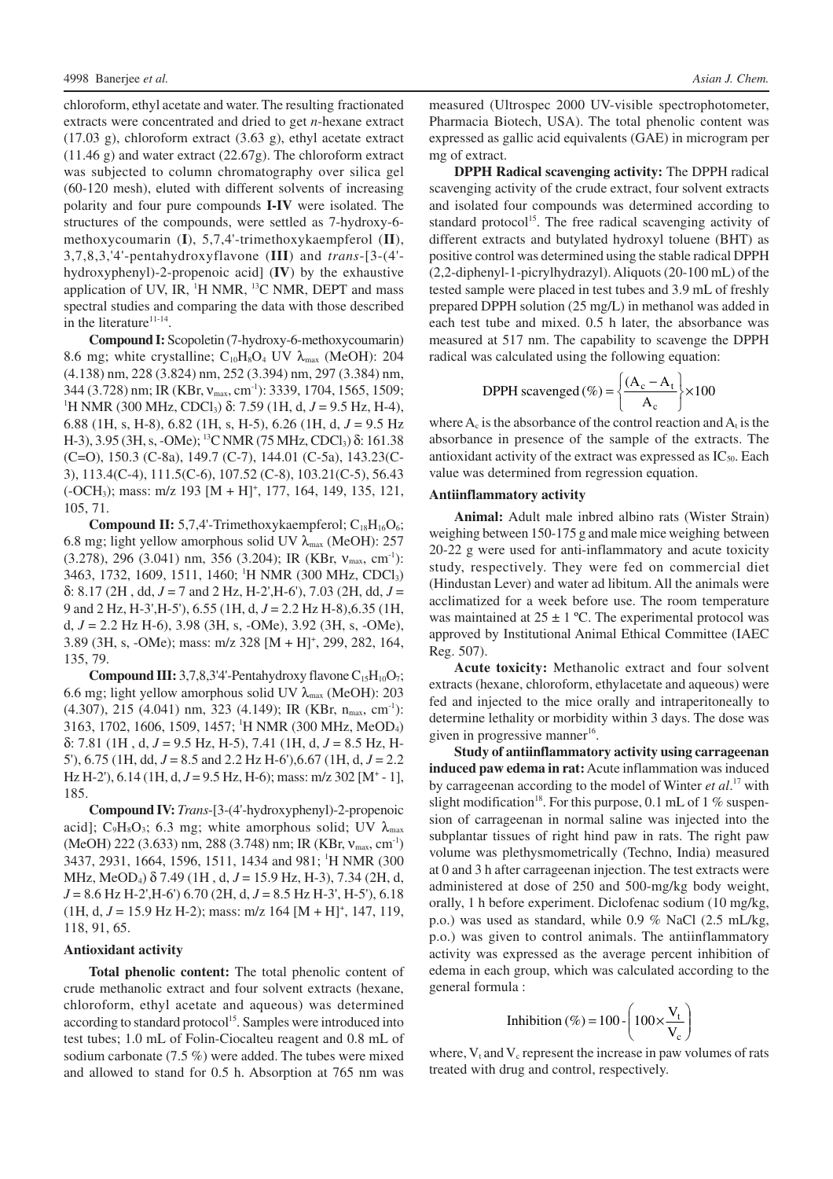chloroform, ethyl acetate and water. The resulting fractionated extracts were concentrated and dried to get *n*-hexane extract (17.03 g), chloroform extract (3.63 g), ethyl acetate extract (11.46 g) and water extract (22.67g). The chloroform extract was subjected to column chromatography over silica gel (60-120 mesh), eluted with different solvents of increasing polarity and four pure compounds **I-IV** were isolated. The structures of the compounds, were settled as 7-hydroxy-6 methoxycoumarin (**I**), 5,7,4'-trimethoxykaempferol (**II**), 3,7,8,3,'4'-pentahydroxyflavone (**III**) and *trans*-[3-(4' hydroxyphenyl)-2-propenoic acid] (**IV**) by the exhaustive application of UV, IR,  ${}^{1}$ H NMR,  ${}^{13}$ C NMR, DEPT and mass spectral studies and comparing the data with those described in the literature<sup>11-14</sup>.

**Compound I:** Scopoletin (7-hydroxy-6-methoxycoumarin) 8.6 mg; white crystalline;  $C_{10}H_8O_4$  UV  $\lambda_{\text{max}}$  (MeOH): 204 (4.138) nm, 228 (3.824) nm, 252 (3.394) nm, 297 (3.384) nm, 344 (3.728) nm; IR (KBr,  $v_{\text{max}}$ , cm<sup>-1</sup>): 3339, 1704, 1565, 1509; <sup>1</sup>H NMR (300 MHz, CDCl<sub>3</sub>) δ: 7.59 (1H, d, *J* = 9.5 Hz, H-4), 6.88 (1H, s, H-8), 6.82 (1H, s, H-5), 6.26 (1H, d,  $J = 9.5$  Hz H-3), 3.95 (3H, s, -OMe); <sup>13</sup>C NMR (75 MHz, CDCl<sub>3</sub>) δ: 161.38 (C=O), 150.3 (C-8a), 149.7 (C-7), 144.01 (C-5a), 143.23(C-3), 113.4(C-4), 111.5(C-6), 107.52 (C-8), 103.21(C-5), 56.43 (-OCH<sub>3</sub>); mass: m/z 193 [M + H]<sup>+</sup>, 177, 164, 149, 135, 121, 105, 71.

**Compound II:** 5,7,4'-Trimethoxykaempferol;  $C_{18}H_{16}O_6$ ; 6.8 mg; light yellow amorphous solid UV  $\lambda_{\text{max}}$  (MeOH): 257 (3.278), 296 (3.041) nm, 356 (3.204); IR (KBr,  $v_{\text{max}}$ , cm<sup>-1</sup>): 3463, 1732, 1609, 1511, 1460; <sup>1</sup>H NMR (300 MHz, CDCl<sub>3</sub>) δ: 8.17 (2H , dd, *J* = 7 and 2 Hz, H-2',H-6'), 7.03 (2H, dd, *J* = 9 and 2 Hz, H-3',H-5'), 6.55 (1H, d, *J* = 2.2 Hz H-8),6.35 (1H, d, *J* = 2.2 Hz H-6), 3.98 (3H, s, -OMe), 3.92 (3H, s, -OMe), 3.89 (3H, s, -OMe); mass: m/z 328 [M + H]<sup>+</sup>, 299, 282, 164, 135, 79.

**Compound III:** 3,7,8,3'4'-Pentahydroxy flavone  $C_{15}H_{10}O_7$ ; 6.6 mg; light yellow amorphous solid UV  $\lambda_{\text{max}}$  (MeOH): 203  $(4.307)$ , 215 (4.041) nm, 323 (4.149); IR (KBr, n<sub>max</sub>, cm<sup>-1</sup>): 3163, 1702, 1606, 1509, 1457; <sup>1</sup>H NMR (300 MHz, MeOD4) δ: 7.81 (1H , d, *J* = 9.5 Hz, H-5), 7.41 (1H, d, *J* = 8.5 Hz, H-5'), 6.75 (1H, dd, *J* = 8.5 and 2.2 Hz H-6'),6.67 (1H, d, *J* = 2.2 Hz H-2'),  $6.14$  (1H,  $d, J = 9.5$  Hz, H-6); mass: m/z 302 [M<sup>+</sup> - 1], 185.

**Compound IV:***Trans*-[3-(4'-hydroxyphenyl)-2-propenoic acid]; C<sub>9</sub>H<sub>8</sub>O<sub>3</sub>; 6.3 mg; white amorphous solid; UV  $\lambda_{\text{max}}$ (MeOH) 222 (3.633) nm, 288 (3.748) nm; IR (KBr,  $v_{\text{max}}$ , cm<sup>-1</sup>) 3437, 2931, 1664, 1596, 1511, 1434 and 981; <sup>1</sup>H NMR (300) MHz, MeOD4) δ 7.49 (1H , d, *J* = 15.9 Hz, H-3), 7.34 (2H, d, *J* = 8.6 Hz H-2',H-6') 6.70 (2H, d, *J* = 8.5 Hz H-3', H-5'), 6.18  $(1H, d, J = 15.9 \text{ Hz H-2})$ ; mass: m/z 164  $[M + H]$ <sup>+</sup>, 147, 119, 118, 91, 65.

#### **Antioxidant activity**

**Total phenolic content:** The total phenolic content of crude methanolic extract and four solvent extracts (hexane, chloroform, ethyl acetate and aqueous) was determined according to standard protocol<sup>15</sup>. Samples were introduced into test tubes; 1.0 mL of Folin-Ciocalteu reagent and 0.8 mL of sodium carbonate (7.5 %) were added. The tubes were mixed and allowed to stand for 0.5 h. Absorption at 765 nm was

measured (Ultrospec 2000 UV-visible spectrophotometer, Pharmacia Biotech, USA). The total phenolic content was expressed as gallic acid equivalents (GAE) in microgram per mg of extract.

**DPPH Radical scavenging activity:** The DPPH radical scavenging activity of the crude extract, four solvent extracts and isolated four compounds was determined according to standard protocol<sup>15</sup>. The free radical scavenging activity of different extracts and butylated hydroxyl toluene (BHT) as positive control was determined using the stable radical DPPH (2,2-diphenyl-1-picrylhydrazyl). Aliquots (20-100 mL) of the tested sample were placed in test tubes and 3.9 mL of freshly prepared DPPH solution (25 mg/L) in methanol was added in each test tube and mixed. 0.5 h later, the absorbance was measured at 517 nm. The capability to scavenge the DPPH radical was calculated using the following equation:

$$
DPPH \text{scavenged} (\%) = \left\{ \frac{(A_c - A_t)}{A_c} \right\} \times 100
$$

where  $A_c$  is the absorbance of the control reaction and  $A_t$  is the absorbance in presence of the sample of the extracts. The antioxidant activity of the extract was expressed as  $IC_{50}$ . Each value was determined from regression equation.

### **Antiinflammatory activity**

**Animal:** Adult male inbred albino rats (Wister Strain) weighing between 150-175 g and male mice weighing between 20-22 g were used for anti-inflammatory and acute toxicity study, respectively. They were fed on commercial diet (Hindustan Lever) and water ad libitum. All the animals were acclimatized for a week before use. The room temperature was maintained at  $25 \pm 1$  °C. The experimental protocol was approved by Institutional Animal Ethical Committee (IAEC Reg. 507).

**Acute toxicity:** Methanolic extract and four solvent extracts (hexane, chloroform, ethylacetate and aqueous) were fed and injected to the mice orally and intraperitoneally to determine lethality or morbidity within 3 days. The dose was given in progressive manner<sup>16</sup>.

**Study of antiinflammatory activity using carrageenan induced paw edema in rat:**Acute inflammation was induced by carrageenan according to the model of Winter *et al*. <sup>17</sup> with slight modification<sup>18</sup>. For this purpose, 0.1 mL of 1 % suspension of carrageenan in normal saline was injected into the subplantar tissues of right hind paw in rats. The right paw volume was plethysmometrically (Techno, India) measured at 0 and 3 h after carrageenan injection. The test extracts were administered at dose of 250 and 500-mg/kg body weight, orally, 1 h before experiment. Diclofenac sodium (10 mg/kg, p.o.) was used as standard, while 0.9 % NaCl (2.5 mL/kg, p.o.) was given to control animals. The antiinflammatory activity was expressed as the average percent inhibition of edema in each group, which was calculated according to the general formula :

$$
Inhibition (\%) = 100 - \left(100 \times \frac{V_t}{V_c}\right)
$$

where,  $V_t$  and  $V_c$  represent the increase in paw volumes of rats treated with drug and control, respectively.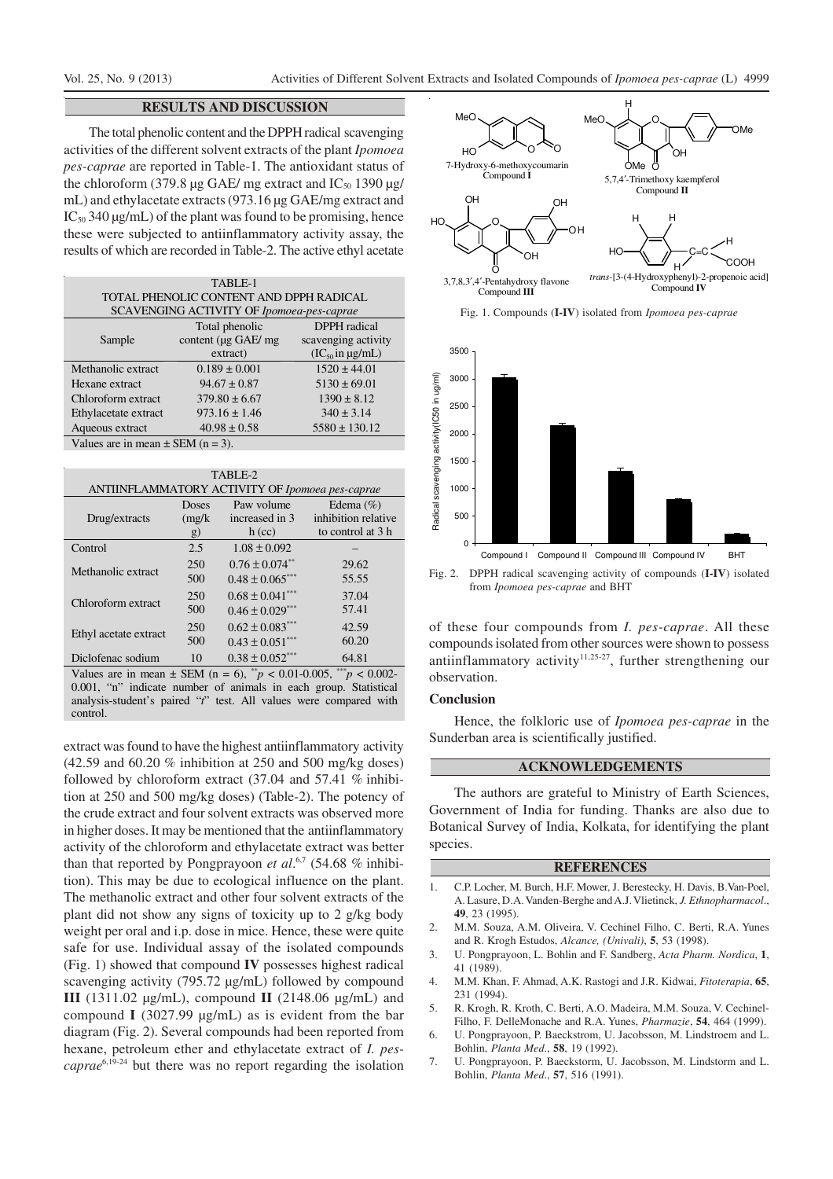# **RESULTS AND DISCUSSION**

The total phenolic content and the DPPH radical scavenging activities of the different solvent extracts of the plant *Ipomoea pes-caprae* are reported in Table-1. The antioxidant status of the chloroform (379.8  $\mu$ g GAE/ mg extract and IC<sub>50</sub> 1390  $\mu$ g/ mL) and ethylacetate extracts (973.16 µg GAE/mg extract and  $IC_{50}$  340 µg/mL) of the plant was found to be promising, hence these were subjected to antiinflammatory activity assay, the results of which are recorded in Table-2. The active ethyl acetate

| TABLE-1                                   |                     |                           |
|-------------------------------------------|---------------------|---------------------------|
| TOTAL PHENOLIC CONTENT AND DPPH RADICAL   |                     |                           |
| SCAVENGING ACTIVITY OF Ipomoea-pes-caprae |                     |                           |
|                                           | Total phenolic      | <b>DPPH</b> radical       |
| Sample                                    | content (µg GAE/ mg | scavenging activity       |
|                                           | extract)            | $(IC_{50}$ in $\mu$ g/mL) |
| Methanolic extract                        | $0.189 \pm 0.001$   | $1520 \pm 44.01$          |
| Hexane extract                            | $94.67 \pm 0.87$    | $5130 \pm 69.01$          |
| Chloroform extract                        | $379.80 \pm 6.67$   | $1390 \pm 8.12$           |
| Ethylacetate extract                      | $973.16 \pm 1.46$   | $340 \pm 3.14$            |
| Aqueous extract                           | $40.98 \pm 0.58$    | $5580 \pm 130.12$         |
| Values are in mean $\pm$ SEM (n = 3).     |                     |                           |

TABLE-2 ANTIINFLAMMATORY ACTIVITY OF *Ipomoea pes-caprae* Drug/extracts Doses (mg/k g) Paw volume increased in 3 h (cc) Edema (%) inhibition relative to control at 3 h Control 2.5  $1.08 \pm 0.092$ Methanolic extract 250 500  $0.76 \pm 0.074$ \*\*  $0.48 \pm 0.065$ \*\*\* 29.62 55.55 Chloroform extract  $^{250}$ 500  $0.68 \pm 0.041$ \*\*\*  $0.46 \pm 0.029$ \*\*\* 37.04 57.41 Ethyl acetate extract  $\frac{250}{500}$ 500  $0.62 \pm 0.083***$  $0.43 \pm 0.051$ \*\*\* 42.59 60.20 Diclofenac sodium  $10 \t 0.38 \pm 0.052^{***}$  64.81 Values are in mean  $\pm$  SEM (n = 6), \*\*p < 0.01-0.005, \*\*\*p < 0.002-

0.001, "n" indicate number of animals in each group. Statistical analysis-student's paired "*t*" test. All values were compared with control.

extract was found to have the highest antiinflammatory activity (42.59 and 60.20 % inhibition at 250 and 500 mg/kg doses) followed by chloroform extract (37.04 and 57.41 % inhibition at 250 and 500 mg/kg doses) (Table-2). The potency of the crude extract and four solvent extracts was observed more in higher doses. It may be mentioned that the antiinflammatory activity of the chloroform and ethylacetate extract was better than that reported by Pongprayoon *et al*. 6,7 (54.68 % inhibition). This may be due to ecological influence on the plant. The methanolic extract and other four solvent extracts of the plant did not show any signs of toxicity up to 2 g/kg body weight per oral and i.p. dose in mice. Hence, these were quite safe for use. Individual assay of the isolated compounds (Fig. 1) showed that compound **IV** possesses highest radical scavenging activity (795.72 µg/mL) followed by compound **III** (1311.02  $\mu$ g/mL), compound **II** (2148.06  $\mu$ g/mL) and compound **I** (3027.99 µg/mL) as is evident from the bar diagram (Fig. 2). Several compounds had been reported from hexane, petroleum ether and ethylacetate extract of *I. pescaprae*6,19-24 but there was no report regarding the isolation



Fig. 1. Compounds (**I-IV**) isolated from *Ipomoea pes-caprae*



from *Ipomoea pes-caprae* and BHT

of these four compounds from *I. pes-caprae*. All these compounds isolated from other sources were shown to possess antiinflammatory activity<sup>11,25-27</sup>, further strengthening our observation.

### **Conclusion**

Hence, the folkloric use of *Ipomoea pes-caprae* in the Sunderban area is scientifically justified.

## **ACKNOWLEDGEMENTS**

The authors are grateful to Ministry of Earth Sciences, Government of India for funding. Thanks are also due to Botanical Survey of India, Kolkata, for identifying the plant species.

#### **REFERENCES**

- 1. C.P. Locher, M. Burch, H.F. Mower, J. Berestecky, H. Davis, B.Van-Poel, A. Lasure, D.A. Vanden-Berghe and A.J. Vlietinck, *J. Ethnopharmacol*., **49**, 23 (1995).
- 2. M.M. Souza, A.M. Oliveira, V. Cechinel Filho, C. Berti, R.A. Yunes and R. Krogh Estudos, *Alcance, (Univali)*, **5**, 53 (1998).
- 3. U. Pongprayoon, L. Bohlin and F. Sandberg, *Acta Pharm. Nordica*, **1**, 41 (1989).
- 4. M.M. Khan, F. Ahmad, A.K. Rastogi and J.R. Kidwai, *Fitoterapia*, **65**, 231 (1994).
- 5. R. Krogh, R. Kroth, C. Berti, A.O. Madeira, M.M. Souza, V. Cechinel-Filho, F. DelleMonache and R.A. Yunes, *Pharmazie*, **54**, 464 (1999).
- 6. U. Pongprayoon, P. Baeckstrom, U. Jacobsson, M. Lindstroem and L. Bohlin, *Planta Med*., **58**, 19 (1992).
- 7. U. Pongprayoon, P. Baeckstorm, U. Jacobsson, M. Lindstorm and L. Bohlin, *Planta Med*., **57**, 516 (1991).